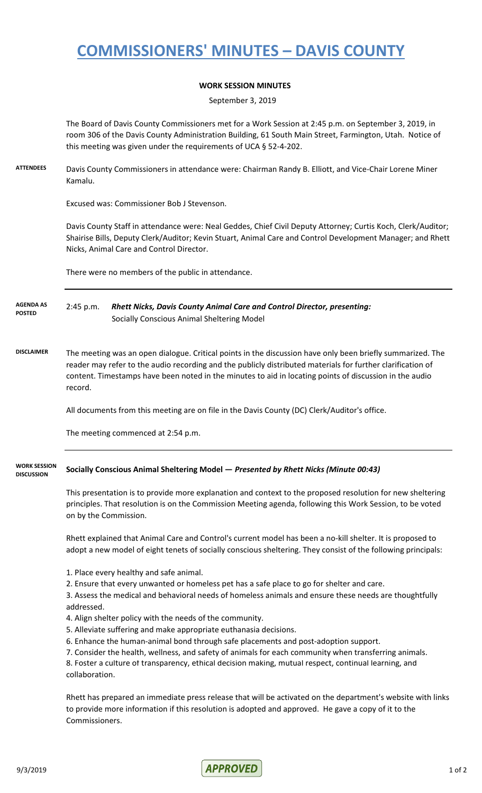## **COMMISSIONERS' MINUTES – DAVIS COUNTY**

## **WORK SESSION MINUTES**

September 3, 2019

The Board of Davis County Commissioners met for a Work Session at 2:45 p.m. on September 3, 2019, in room 306 of the Davis County Administration Building, 61 South Main Street, Farmington, Utah. Notice of this meeting was given under the requirements of UCA § 52-4-202.

**ATTENDEES** Davis County Commissioners in attendance were: Chairman Randy B. Elliott, and Vice-Chair Lorene Miner Kamalu.

Excused was: Commissioner Bob J Stevenson.

Davis County Staff in attendance were: Neal Geddes, Chief Civil Deputy Attorney; Curtis Koch, Clerk/Auditor; Shairise Bills, Deputy Clerk/Auditor; Kevin Stuart, Animal Care and Control Development Manager; and Rhett Nicks, Animal Care and Control Director.

There were no members of the public in attendance.

2:45 p.m. *Rhett Nicks, Davis County Animal Care and Control Director, presenting:* Socially Conscious Animal Sheltering Model **AGENDA AS POSTED**

**DISCLAIMER** The meeting was an open dialogue. Critical points in the discussion have only been briefly summarized. The reader may refer to the audio recording and the publicly distributed materials for further clarification of content. Timestamps have been noted in the minutes to aid in locating points of discussion in the audio record.

All documents from this meeting are on file in the Davis County (DC) Clerk/Auditor's office.

The meeting commenced at 2:54 p.m.

## **Socially Conscious Animal Sheltering Model —** *Presented by Rhett Nicks (Minute 00:43)* **WORK SESSION DISCUSSION**

This presentation is to provide more explanation and context to the proposed resolution for new sheltering principles. That resolution is on the Commission Meeting agenda, following this Work Session, to be voted on by the Commission.

Rhett explained that Animal Care and Control's current model has been a no-kill shelter. It is proposed to adopt a new model of eight tenets of socially conscious sheltering. They consist of the following principals:

- 1. Place every healthy and safe animal.
- 2. Ensure that every unwanted or homeless pet has a safe place to go for shelter and care.

3. Assess the medical and behavioral needs of homeless animals and ensure these needs are thoughtfully addressed.

- 4. Align shelter policy with the needs of the community.
- 5. Alleviate suffering and make appropriate euthanasia decisions.
- 6. Enhance the human-animal bond through safe placements and post-adoption support.
- 7. Consider the health, wellness, and safety of animals for each community when transferring animals.

8. Foster a culture of transparency, ethical decision making, mutual respect, continual learning, and collaboration.

Rhett has prepared an immediate press release that will be activated on the department's website with links to provide more information if this resolution is adopted and approved. He gave a copy of it to the Commissioners.